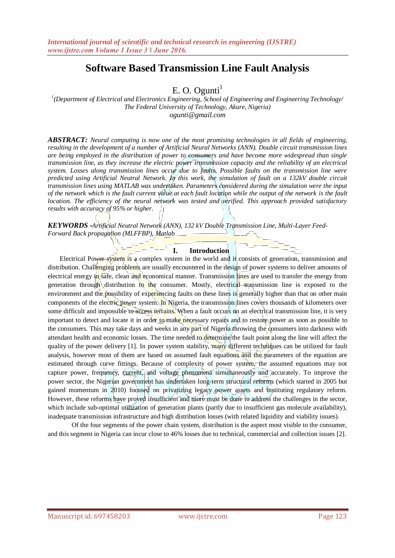# **Software Based Transmission Line Fault Analysis**

E. O. Ogunti $<sup>1</sup>$ </sup>

*1 (Department of Electrical and Electronics Engineering, School of Engineering and Engineering Technology/ The Federal University of Technology, Akure, Nigeria) ogunti@gmail.com*

*ABSTRACT: Neural computing is now one of the most promising technologies in all fields of engineering, resulting in the development of a number of Artificial Neural Networks (ANN). Double circuit transmission lines are being employed in the distribution of power to consumers and have become more widespread than single transmission line, as they increase the electric power transmission capacity and the reliability of an electrical system. Losses along transmission lines occur due to faults. Possible faults on the transmission line were predicted using Artificial Neutral Network. In this work, the simulation of fault on a 132kV double circuit transmission lines using MATLAB was undertaken. Parameters considered during the simulation were the input of the network which is the fault current value at each fault location while the output of the network is the fault location. The efficiency of the neural network was tested and verified. This approach provided satisfactory results with accuracy of 95% or higher.*

*KEYWORDS -Artificial Neutral Network (ANN), 132 kV Double Transmission Line, Multi-Layer Feed-Forward Back propagation (MLFFBP), Matlab*

#### **I. Introduction**

Electrical Power system is a complex system in the world and it consists of generation, transmission and distribution. Challenging problems are usually encountered in the design of power systems to deliver amounts of electrical energy in safe, clean and economical manner. Transmission lines are used to transfer the energy from generation through distribution to the consumer. Mostly, electrical transmission line is exposed to the environment and the possibility of experiencing faults on these lines is generally higher than that on other main components of the electric power system. In Nigeria, the transmission lines covers thousands of kilometers over some difficult and impossible to access terrains. When a fault occurs on an electrical transmission line, it is very important to detect and locate it in order to make necessary repairs and to restore power as soon as possible to the consumers. This may take days and weeks in any part of Nigeria throwing the consumers into darkness with attendant health and economic losses. The time needed to determine the fault point along the line will affect the quality of the power delivery [1]. In power system stability, many different techniques can be utilized for fault analysis, however most of them are based on assumed fault equations and the parameters of the equation are estimated through curve fittings. Because of complexity of power system, the assumed equations may not capture power, frequency, current, and voltage phenomena simultaneously and accurately. To improve the power sector, the Nigerian government has undertaken long-term structural reforms (which started in 2005 but gained momentum in 2010) focused on privatizing legacy power assets and instituting regulatory reform. However, these reforms have proved insufficient and more must be done to address the challenges in the sector, which include sub-optimal utilization of generation plants (partly due to insufficient gas molecule availability), inadequate transmission infrastructure and high distribution losses (with related liquidity and viability issues).

Of the four segments of the power chain system, distribution is the aspect most visible to the consumer, and this segment in Nigeria can incur close to 46% losses due to technical, commercial and collection issues [2].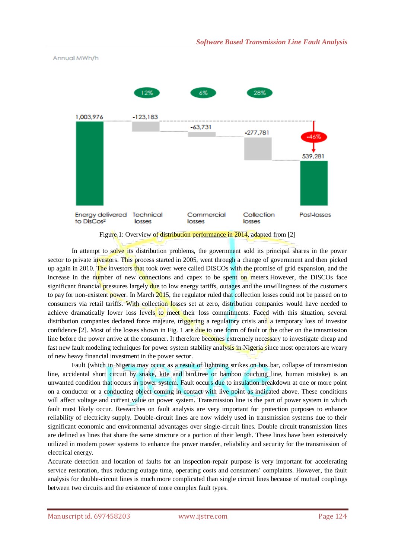

Figure 1: Overview of distribution performance in 2014, adapted from [2]

In attempt to solve its distribution problems, the government sold its principal shares in the power sector to private investors. This process started in 2005, went through a change of government and then picked up again in 2010. The investors that took over were called DISCOs with the promise of grid expansion, and the increase in the number of new connections and capex to be spent on meters. However, the DISCOs face significant financial pressures largely due to low energy tariffs, outages and the unwillingness of the customers to pay for non-existent power. In March 2015, the regulator ruled that collection losses could not be passed on to consumers via retail tariffs. With collection losses set at zero, distribution companies would have needed to achieve dramatically lower loss levels to meet their loss commitments. Faced with this situation, several distribution companies declared force majeure, triggering a regulatory crisis and a temporary loss of investor confidence  $[2]$ . Most of the losses shown in Fig. 1 are due to one form of fault or the other on the transmission line before the power arrive at the consumer. It therefore becomes extremely necessary to investigate cheap and fast new fault modeling techniques for power system stability analysis in Nigeria since most operators are weary of new heavy financial investment in the power sector.

Fault (which in Nigeria may occur as a result of lightning strikes on bus bar, collapse of transmission line, accidental short circuit by snake, kite and bird,tree or bamboo touching line, human mistake) is an unwanted condition that occurs in power system. Fault occurs due to insulation breakdown at one or more point on a conductor or a conducting object coming in contact with live point as indicated above. These conditions will affect voltage and current value on power system. Transmission line is the part of power system in which fault most likely occur. Researches on fault analysis are very important for protection purposes to enhance reliability of electricity supply. Double-circuit lines are now widely used in transmission systems due to their significant economic and environmental advantages over single-circuit lines. Double circuit transmission lines are defined as lines that share the same structure or a portion of their length. These lines have been extensively utilized in modern power systems to enhance the power transfer, reliability and security for the transmission of electrical energy.

Accurate detection and location of faults for an inspection-repair purpose is very important for accelerating service restoration, thus reducing outage time, operating costs and consumers' complaints. However, the fault analysis for double-circuit lines is much more complicated than single circuit lines because of mutual couplings between two circuits and the existence of more complex fault types.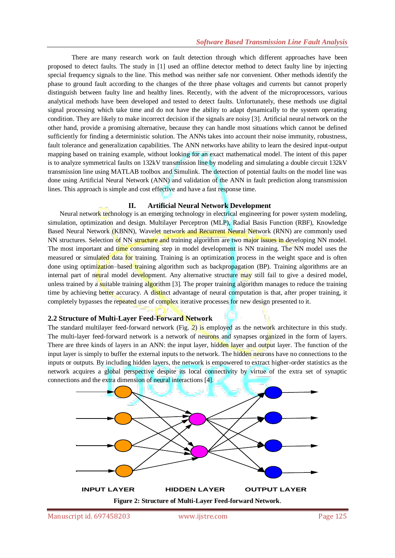There are many research work on fault detection through which different approaches have been proposed to detect faults. The study in [1] used an offline detector method to detect faulty line by injecting special frequency signals to the line. This method was neither safe nor convenient. Other methods identify the phase to ground fault according to the changes of the three phase voltages and currents but cannot properly distinguish between faulty line and healthy lines. Recently, with the advent of the microprocessors, various analytical methods have been developed and tested to detect faults. Unfortunately, these methods use digital signal processing which take time and do not have the ability to adapt dynamically to the system operating condition. They are likely to make incorrect decision if the signals are noisy [3]. Artificial neural network on the other hand, provide a promising alternative, because they can handle most situations which cannot be defined sufficiently for finding a deterministic solution. The ANNs takes into account their noise immunity, robustness, fault tolerance and generalization capabilities. The ANN networks have ability to learn the desired input-output mapping based on training example, without looking for an exact mathematical model. The intent of this paper is to analyze symmetrical faults on 132kV transmission line by modeling and simulating a double circuit 132kV transmission line using MATLAB toolbox and Simulink. The detection of potential faults on the model line was done using Artificial Neural Network (ANN) and validation of the ANN in fault prediction along transmission lines. This approach is simple and cost effective and have a fast response time.

## **II. Artificial Neural Network Development**

Neural network technology is an emerging technology in electrical engineering for power system modeling, simulation, optimization and design. Multilayer Perceptron (MLP), Radial Basis Function (RBF), Knowledge Based Neural Network (KBNN), Wavelet network and Recurrent Neural Network (RNN) are commonly used NN structures. Selection of NN structure and training algorithm are two major issues in developing NN model. The most important and time consuming step in model development is NN training. The NN model uses the measured or simulated data for training. Training is an optimization process in the weight space and is often done using optimization–based training algorithm such as backpropagation (BP). Training algorithms are an internal part of neural model development. Any alternative structure may still fail to give a desired model, unless trained by a suitable training algorithm [3]. The proper training algorithm manages to reduce the training time by achieving better accuracy. A distinct advantage of neural computation is that, after proper training, it completely bypasses the repeated use of complex iterative processes for new design presented to it.

## **2.2 Structure of Multi-Layer Feed-Forward Network**

The standard multilayer feed-forward network (Fig. 2) is employed as the network architecture in this study. The multi-layer feed-forward network is a network of neurons and synapses organized in the form of layers. There are three kinds of layers in an ANN: the input layer, hidden layer and output layer. The function of the input layer is simply to buffer the external inputs to the network. The hidden neurons have no connections to the inputs or outputs. By including hidden layers, the network is empowered to extract higher-order statistics as the network acquires a global perspective despite its local connectivity by virtue of the extra set of synaptic connections and the extra dimension of neural interactions [4].

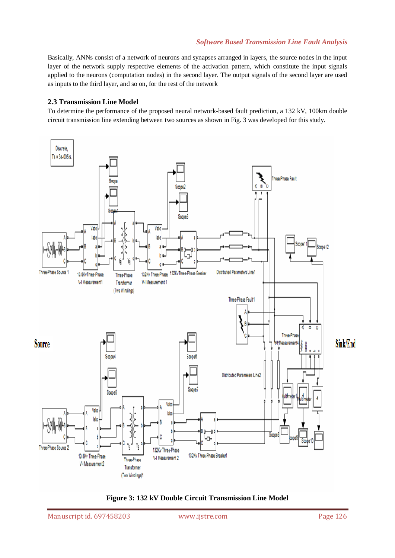Basically, ANNs consist of a network of neurons and synapses arranged in layers, the source nodes in the input layer of the network supply respective elements of the activation pattern, which constitute the input signals applied to the neurons (computation nodes) in the second layer. The output signals of the second layer are used as inputs to the third layer, and so on, for the rest of the network

# **2.3 Transmission Line Model**

To determine the performance of the proposed neural network-based fault prediction, a 132 kV, 100km double circuit transmission line extending between two sources as shown in Fig. 3 was developed for this study.



**Figure 3: 132 kV Double Circuit Transmission Line Model**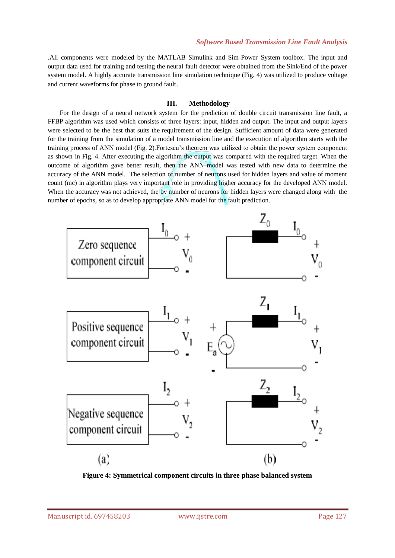.All components were modeled by the MATLAB Simulink and Sim-Power System toolbox. The input and output data used for training and testing the neural fault detector were obtained from the Sink/End of the power system model. A highly accurate transmission line simulation technique (Fig. 4) was utilized to produce voltage and current waveforms for phase to ground fault.

# **III. Methodology**

For the design of a neural network system for the prediction of double circuit transmission line fault, a FFBP algorithm was used which consists of three layers: input, hidden and output. The input and output layers were selected to be the best that suits the requirement of the design. Sufficient amount of data were generated for the training from the simulation of a model transmission line and the execution of algorithm starts with the training process of ANN model (Fig. 2).Fortescu's theorem was utilized to obtain the power system component as shown in Fig. 4. After executing the algorithm the output was compared with the required target. When the outcome of algorithm gave better result, then the ANN model was tested with new data to determine the accuracy of the ANN model. The selection of number of neurons used for hidden layers and value of moment count (mc) in algorithm plays very important role in providing higher accuracy for the developed ANN model. When the accuracy was not achieved, the by number of neurons for hidden layers were changed along with the number of epochs, so as to develop appropriate ANN model for the fault prediction.



**Figure 4: Symmetrical component circuits in three phase balanced system**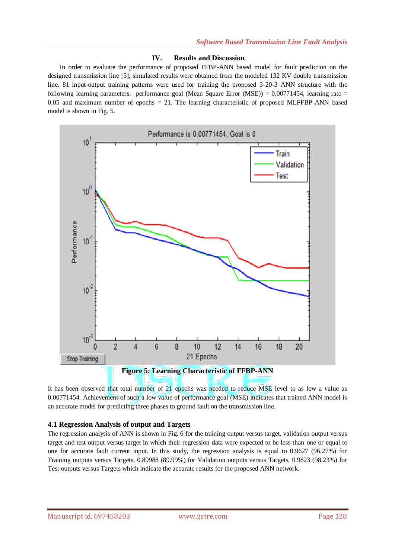#### **IV. Results and Discussion**

In order to evaluate the performance of proposed FFBP-ANN based model for fault prediction on the designed transmission line [5], simulated results were obtained from the modeled 132 KV double transmission line. 81 input-output training patterns were used for training the proposed 3-20-3 ANN structure with the following learning parameters: performance goal (Mean Square Error  $(MSE) = 0.00771454$ , learning rate =  $0.05$  and maximum number of epochs  $= 21$ . The learning characteristic of proposed MLFFBP-ANN based model is shown in Fig. 5.



It has been observed that total number of 21 epochs was needed to reduce MSE level to as low a value as 0.00771454. Achievement of such a low value of performance goal (MSE) indicates that trained ANN model is an accurate model for predicting three phases to ground fault on the transmission line.

## **4.1 Regression Analysis of output and Targets**

The regression analysis of ANN is shown in Fig. 6 for the training output versus target, validation output versus target and test output versus target in which their regression data were expected to be less than one or equal to one for accurate fault current input. In this study, the regression analysis is equal to 0.9627 (96.27%) for Training outputs versus Targets, 0.89988 (89.99%) for Validation outputs versus Targets, 0.9823 (98.23%) for Test outputs versus Targets which indicate the accurate results for the proposed ANN network.